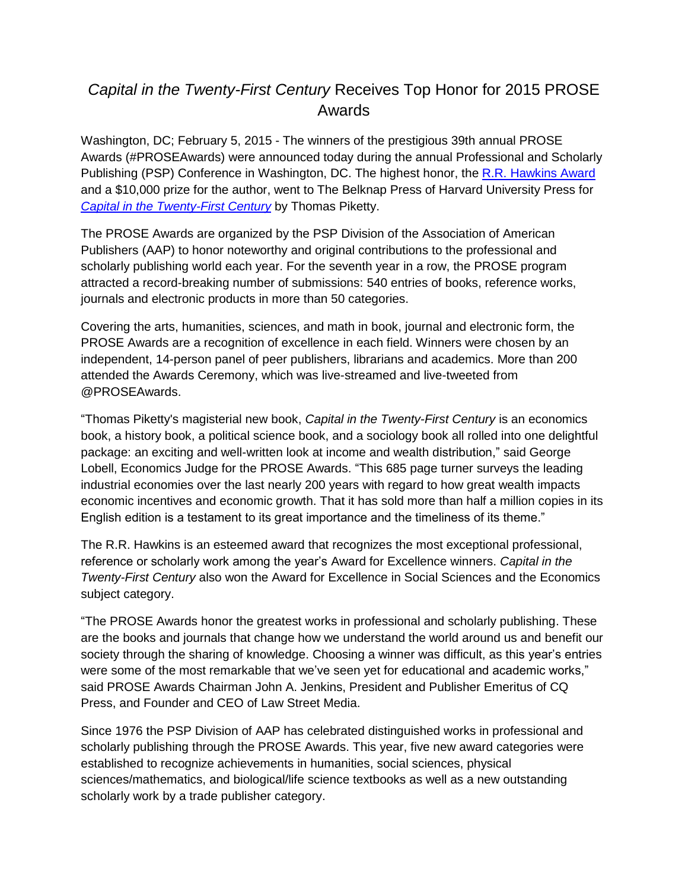# *Capital in the Twenty-First Century* Receives Top Honor for 2015 PROSE Awards

Washington, DC; February 5, 2015 - The winners of the prestigious 39th annual PROSE Awards (#PROSEAwards) were announced today during the annual Professional and Scholarly Publishing (PSP) Conference in Washington, DC. The highest honor, the [R.R. Hawkins Award](http://www.proseawards.com/about-rrh.html) and a \$10,000 prize for the author, went to The Belknap Press of Harvard University Press for *[Capital in the Twenty-First Century](http://www.hup.harvard.edu/catalog.php?isbn=9780674430006)* by Thomas Piketty.

The PROSE Awards are organized by the PSP Division of the Association of American Publishers (AAP) to honor noteworthy and original contributions to the professional and scholarly publishing world each year. For the seventh year in a row, the PROSE program attracted a record-breaking number of submissions: 540 entries of books, reference works, journals and electronic products in more than 50 categories.

Covering the arts, humanities, sciences, and math in book, journal and electronic form, the PROSE Awards are a recognition of excellence in each field. Winners were chosen by an independent, 14-person panel of peer publishers, librarians and academics. More than 200 attended the Awards Ceremony, which was live-streamed and live-tweeted from [@PROSEAwards.](https://twitter.com/PROSEAwards)

"Thomas Piketty's magisterial new book, *Capital in the Twenty-First Century* is an economics book, a history book, a political science book, and a sociology book all rolled into one delightful package: an exciting and well-written look at income and wealth distribution," said George Lobell, Economics Judge for the PROSE Awards. "This 685 page turner surveys the leading industrial economies over the last nearly 200 years with regard to how great wealth impacts economic incentives and economic growth. That it has sold more than half a million copies in its English edition is a testament to its great importance and the timeliness of its theme."

The R.R. Hawkins is an esteemed award that recognizes the most exceptional professional, reference or scholarly work among the year's Award for Excellence winners. *Capital in the Twenty-First Century* also won the Award for Excellence in Social Sciences and the Economics subject category.

"The PROSE Awards honor the greatest works in professional and scholarly publishing. These are the books and journals that change how we understand the world around us and benefit our society through the sharing of knowledge. Choosing a winner was difficult, as this year's entries were some of the most remarkable that we've seen yet for educational and academic works," said PROSE Awards Chairman John A. Jenkins, President and Publisher Emeritus of CQ Press, and Founder and CEO of Law Street Media.

Since 1976 the PSP Division of AAP has celebrated distinguished works in professional and scholarly publishing through the PROSE Awards. This year, five new award categories were established to recognize achievements in humanities, social sciences, physical sciences/mathematics, and biological/life science textbooks as well as a new outstanding scholarly work by a trade publisher category.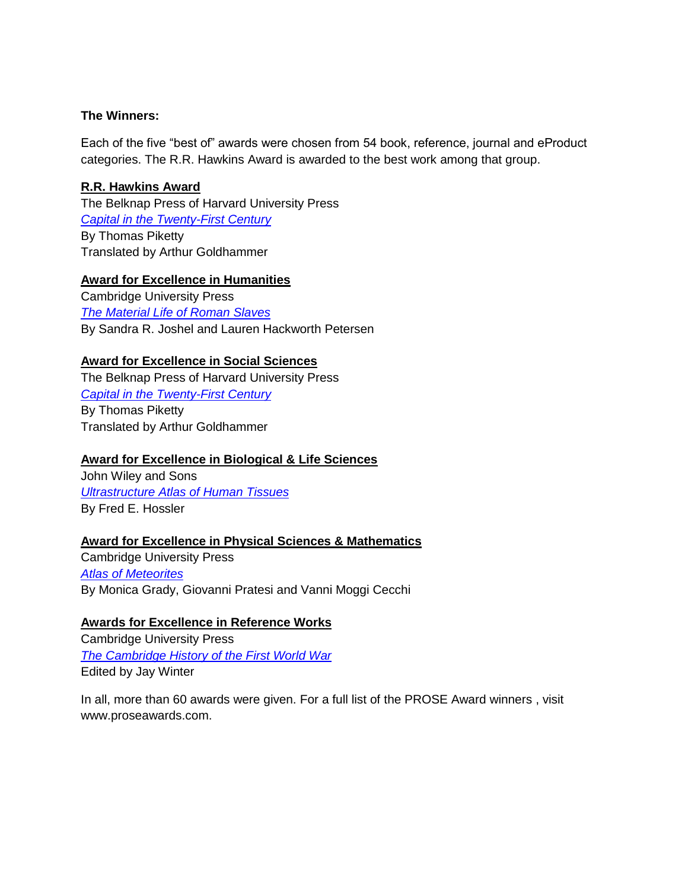#### **The Winners:**

Each of the five "best of" awards were chosen from 54 book, reference, journal and eProduct categories. The R.R. Hawkins Award is awarded to the best work among that group.

### **R.R. Hawkins Award**

The Belknap Press of Harvard University Press *[Capital in the Twenty-First Century](http://www.hup.harvard.edu/catalog.php?isbn=9780674430006)* By Thomas Piketty Translated by Arthur Goldhammer

#### **Award for Excellence in Humanities**

Cambridge University Press *[The Material Life of Roman Slaves](http://www.cambridge.org/us/academic/subjects/classical-studies/classical-art-and-architecture/material-life-roman-slaves)* By Sandra R. Joshel and Lauren Hackworth Petersen

#### **Award for Excellence in Social Sciences**

The Belknap Press of Harvard University Press *[Capital in the Twenty-First Century](http://www.hup.harvard.edu/catalog.php?isbn=9780674430006)* By Thomas Piketty Translated by Arthur Goldhammer

#### **Award for Excellence in Biological & Life Sciences**

John Wiley and Sons *[Ultrastructure Atlas of Human Tissues](http://www.wiley.com/WileyCDA/WileyTitle/productCd-1118284534.html)* By Fred E. Hossler

#### **Award for Excellence in Physical Sciences & Mathematics**

Cambridge University Press *[Atlas of Meteorites](file:///C:/Users/agarner/AppData/Local/Microsoft/Windows/Temporary%20Internet%20Files/Content.Outlook/KP5BILVH/Atlas%20of%20Meteorites)* By Monica Grady, Giovanni Pratesi and Vanni Moggi Cecchi

#### **Awards for Excellence in Reference Works**

Cambridge University Press *[The Cambridge History of the First World War](http://www.cambridge.org/us/academic/subjects/history/twentieth-century-regional-history/cambridge-history-first-world-war-volume-1)* Edited by Jay Winter

In all, more than 60 awards were given. For a full list of the PROSE Award winners , visit www.proseawards.com.